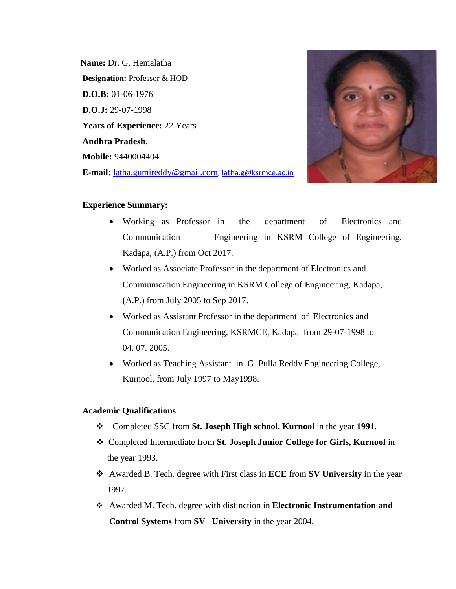**Name:** Dr. G. Hemalatha **Designation:** Professor & HOD **D.O.B:** 01-06-1976 **D.O.J:** 29-07-1998 **Years of Experience:** 22 Years **Andhra Pradesh. Mobile:** 9440004404 **E-mail:** [latha.gumireddy@gmail.com](mailto:latha.gumireddy@gmail.com), [latha.g@ksrmce.ac.in](mailto:latha.g@ksrmce.ac.in)



#### **Experience Summary:**

- Working as Professor in the department of Electronics and Communication Engineering in KSRM College of Engineering, Kadapa, (A.P.) from Oct 2017.
- Worked as Associate Professor in the department of Electronics and Communication Engineering in KSRM College of Engineering, Kadapa, (A.P.) from July 2005 to Sep 2017.
- Worked as Assistant Professor in the department of Electronics and Communication Engineering, KSRMCE, Kadapa from 29-07-1998 to 04. 07. 2005.
- Worked as Teaching Assistant in G. Pulla Reddy Engineering College, Kurnool, from July 1997 to May1998.

#### **Academic Qualifications**

- ❖ Completed SSC from **St. Joseph High school, Kurnool** in the year **1991**.
- ❖ Completed Intermediate from **St. Joseph Junior College for Girls, Kurnool** in the year 1993.
- ❖ Awarded B. Tech. degree with First class in **ECE** from **SV University** in the year 1997.
- ❖ Awarded M. Tech. degree with distinction in **Electronic Instrumentation and Control Systems** from **SV University** in the year 2004.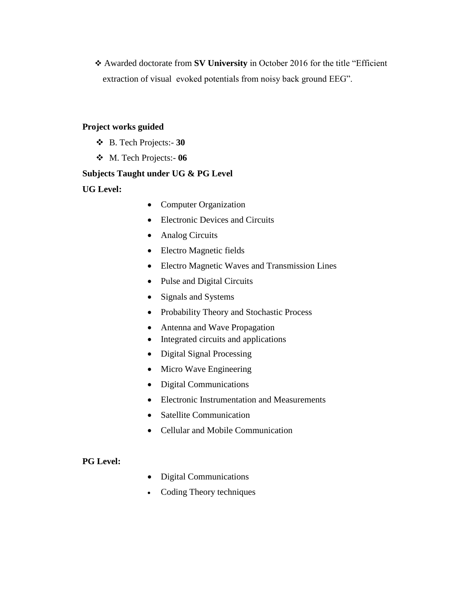❖ Awarded doctorate from **SV University** in October 2016 for the title "Efficient extraction of visualevoked potentials from noisy back ground EEG".

## **Project works guided**

- ❖ B. Tech Projects:- **30**
- ❖ M. Tech Projects:- **06**

## **Subjects Taught under UG & PG Level**

**UG Level:** 

- Computer Organization
- Electronic Devices and Circuits
- Analog Circuits
- Electro Magnetic fields
- Electro Magnetic Waves and Transmission Lines
- Pulse and Digital Circuits
- Signals and Systems
- Probability Theory and Stochastic Process
- Antenna and Wave Propagation
- Integrated circuits and applications
- Digital Signal Processing
- Micro Wave Engineering
- Digital Communications
- Electronic Instrumentation and Measurements
- Satellite Communication
- Cellular and Mobile Communication

## **PG Level:**

- Digital Communications
- Coding Theory techniques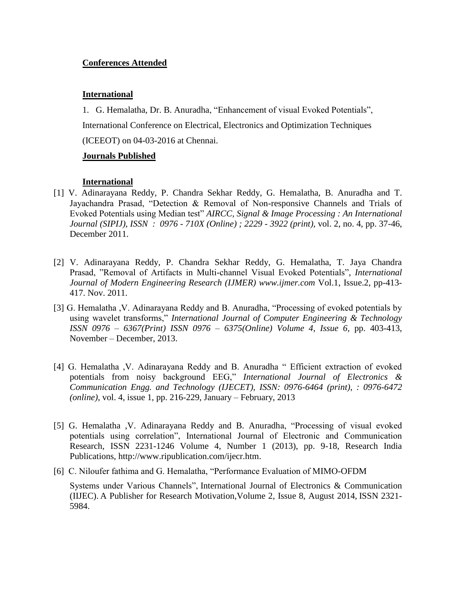## **Conferences Attended**

#### **International**

1. G. Hemalatha, Dr. B. Anuradha, "Enhancement of visual Evoked Potentials", International Conference on Electrical, Electronics and Optimization Techniques (ICEEOT) on 04-03-2016 at Chennai.

# **Journals Published**

## **International**

- [1] V. Adinarayana Reddy, P. Chandra Sekhar Reddy, G. Hemalatha, B. Anuradha and T. Jayachandra Prasad, "Detection & Removal of Non-responsive Channels and Trials of Evoked Potentials using Median test" *AIRCC, Signal & Image Processing : An International Journal (SIPIJ), ISSN : 0976 - 710X (Online) ; 2229 - 3922 (print),* vol. 2, no. 4, pp. 37-46, December 2011.
- [2] V. Adinarayana Reddy, P. Chandra Sekhar Reddy, G. Hemalatha, T. Jaya Chandra Prasad, "Removal of Artifacts in Multi-channel Visual Evoked Potentials", *International Journal of Modern Engineering Research (IJMER) www.ijmer.com* Vol.1, Issue.2, pp-413- 417. Nov. 2011.
- [3] G. Hemalatha ,V. Adinarayana Reddy and B. Anuradha, "Processing of evoked potentials by using wavelet transforms," *International Journal of Computer Engineering & Technology ISSN 0976 – 6367(Print) ISSN 0976 – 6375(Online) Volume 4, Issue 6,* pp. 403-413, November – December, 2013.
- [4] G. Hemalatha ,V. Adinarayana Reddy and B. Anuradha " Efficient extraction of evoked potentials from noisy background EEG," *International Journal of Electronics & Communication Engg. and Technology (IJECET), ISSN: 0976-6464 (print)*, *: 0976-6472 (online)*, vol. 4, issue 1, pp. 216-229, January – February, 2013
- [5] G. Hemalatha ,V. Adinarayana Reddy and B. Anuradha, "Processing of visual evoked potentials using correlation", International Journal of Electronic and Communication Research, ISSN 2231-1246 Volume 4, Number 1 (2013), pp. 9-18, Research India Publications, [http://www.ripublication.com/ijecr.htm.](http://www.ripublication.com/ijecr.htm)
- [6] C. Niloufer fathima and G. Hemalatha, "Performance Evaluation of MIMO-OFDM Systems under Various Channels", International Journal of Electronics & Communication

(IIJEC). A Publisher for Research Motivation,Volume 2, Issue 8, August 2014, ISSN 2321- 5984.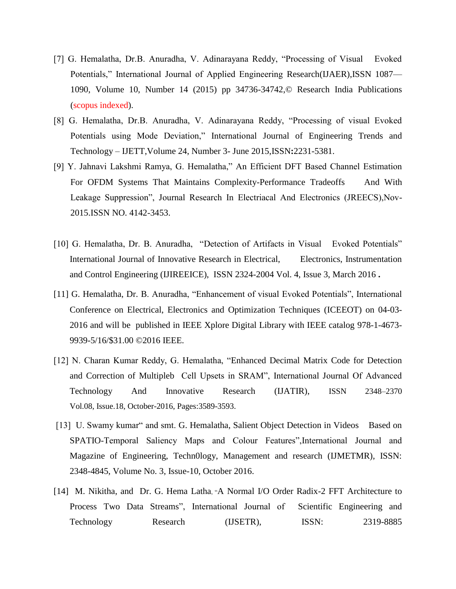- [7] G. Hemalatha, Dr.B. Anuradha, V. Adinarayana Reddy, "Processing of Visual Evoked Potentials," International Journal of Applied Engineering Research(IJAER),ISSN 1087— 1090, Volume 10, Number 14 (2015) pp 34736-34742,© Research India Publications (scopus indexed).
- [8] G. Hemalatha, Dr.B. Anuradha, V. Adinarayana Reddy, "Processing of visual Evoked Potentials using Mode Deviation," International Journal of Engineering Trends and Technology – IJETT,Volume 24, Number 3- June 2015,ISSN**:**2231-5381.
- [9] Y. Jahnavi Lakshmi Ramya, G. Hemalatha," An Efficient DFT Based Channel Estimation For OFDM Systems That Maintains Complexity-Performance Tradeoffs And With Leakage Suppression", Journal Research In Electriacal And Electronics (JREECS),Nov-2015.ISSN NO. 4142-3453.
- [10] G. Hemalatha, Dr. B. Anuradha, "Detection of Artifacts in Visual Evoked Potentials" International Journal of Innovative Research in Electrical, Electronics, Instrumentation and Control Engineering (IJIREEICE), ISSN 2324-2004 Vol. 4, Issue 3, March 2016 **.**
- [11] G. Hemalatha, Dr. B. Anuradha, "Enhancement of visual Evoked Potentials", International Conference on Electrical, Electronics and Optimization Techniques (ICEEOT) on 04-03- 2016 and will be published in IEEE Xplore Digital Library with IEEE catalog 978-1-4673- 9939-5/16/\$31.00 ©2016 IEEE.
- [12] N. Charan Kumar Reddy, G. Hemalatha, "Enhanced Decimal Matrix Code for Detection and Correction of Multipleb Cell Upsets in SRAM", International Journal Of Advanced Technology And Innovative Research (IJATIR), ISSN 2348–2370 Vol.08, Issue.18, October-2016, Pages:3589-3593.
- [13] U. Swamy kumar" and smt. G. Hemalatha, Salient Object Detection in Videos Based on SPATIO-Temporal Saliency Maps and Colour Features",International Journal and Magazine of Engineering, Techn0logy, Management and research (IJMETMR), ISSN: 2348-4845, Volume No. 3, Issue-10, October 2016.
- [14] M. Nikitha, and Dr. G. Hema Latha, "A Normal I/O Order Radix-2 FFT Architecture to Process Two Data Streams", International Journal of Scientific Engineering and Technology Research (IJSETR), ISSN: 2319-8885